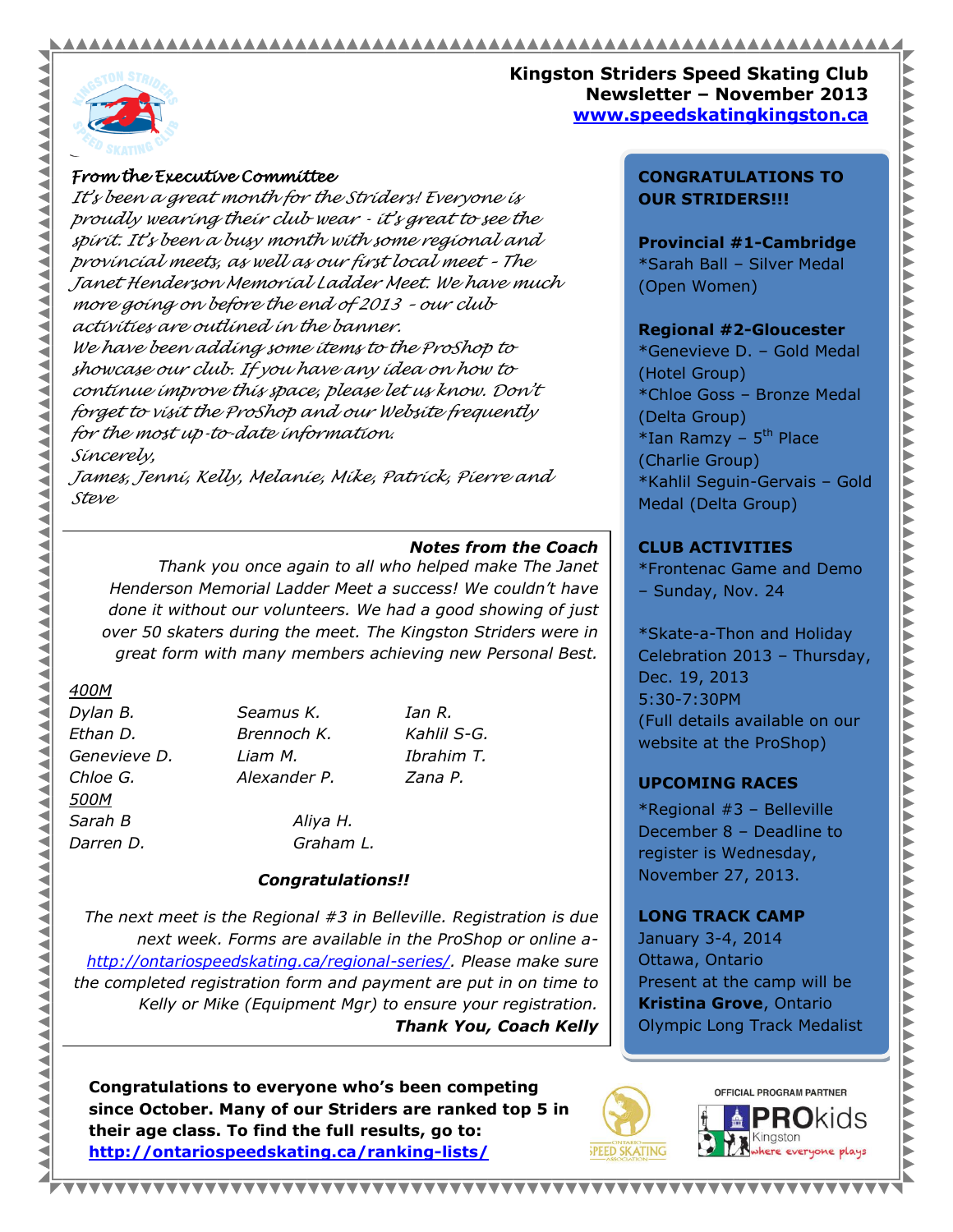# 



AAA ◀ ◀ ◀ ◀ ◀

<u>YVYYYYYYYYYYYYYYYYYYY</u>

◀ **AAA** ◀

AAAA

⋖ ⋖

#### **Kingston Striders Speed Skating Club Newsletter – November 2013 www.speedskatingkingston.ca**

# *From the Executive Committee*

*It's been a great month for the Striders! Everyone is proudly wearing their club wear - it's great to see the spirit. It's been a busy month with some regional and provincial meets, as well as our first local meet – The Janet Henderson Memorial Ladder Meet. We have much more going on before the end of 2013 – our club activities are outlined in the banner. We have been adding some items to the ProShop to showcase our club. If you have any idea on how to continue improve this space, please let us know. Don't forget to visit the ProShop and our Website frequently for the most up-to-date information. Sincerely,* 

*James, Jenni, Kelly, Melanie, Mike, Patrick, Pierre and Steve*

# *Notes from the Coach*

*Thank you once again to all who helped make The Janet Henderson Memorial Ladder Meet a success! We couldn't have done it without our volunteers. We had a good showing of just over 50 skaters during the meet. The Kingston Striders were in great form with many members achieving new Personal Best.*

#### *400M*

*Dylan B. Seamus K. Ian R. Ethan D. Brennoch K. Kahlil S-G. Genevieve D. Liam M. Ibrahim T. Chloe G. Alexander P. Zana P. 500M Sarah B Aliya H. Darren D. Graham L.*

# *Congratulations!!*

*The next meet is the Regional #3 in Belleville. Registration is due next week. Forms are available in the ProShop or online a[http://ontariospeedskating.ca/regional-series/.](http://ontariospeedskating.ca/regional-series/) Please make sure the completed registration form and payment are put in on time to Kelly or Mike (Equipment Mgr) to ensure your registration. Thank You, Coach Kelly*

**Congratulations to everyone who's been competing since October. Many of our Striders are ranked top 5 in their age class. To find the full results, go to: <http://ontariospeedskating.ca/ranking-lists/>**

#### **CONGRATULATIONS TO OUR STRIDERS!!!**

**Provincial #1-Cambridge** \*Sarah Ball – Silver Medal (Open Women)

# **Regional #2-Gloucester**

\*Genevieve D. – Gold Medal (Hotel Group) \*Chloe Goss – Bronze Medal (Delta Group) \*Ian Ramzy - 5<sup>th</sup> Place (Charlie Group) \*Kahlil Seguin-Gervais – Gold Medal (Delta Group)

# **CLUB ACTIVITIES**

\*Frontenac Game and Demo – Sunday, Nov. 24

\*Skate-a-Thon and Holiday Celebration 2013 – Thursday, Dec. 19, 2013 5:30-7:30PM (Full details available on our website at the ProShop)

# **UPCOMING RACES**

\*Regional #3 – Belleville December 8 – Deadline to register is Wednesday, November 27, 2013.

# **LONG TRACK CAMP**

January 3-4, 2014 Ottawa, Ontario Present at the camp will be **Kristina Grove**, Ontario Olympic Long Track Medalist



**\*\*\*\*\*\*\*\*\*\*\***